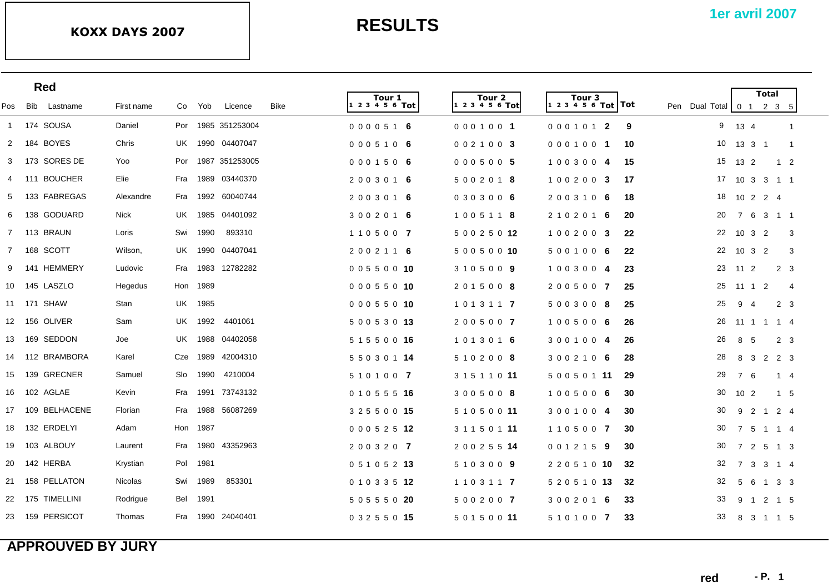|                |     | <b>Red</b>       |            |     |          |                    |      |                           |                           |                            |      |                          |                                  | <b>Total</b>   |                     |                |
|----------------|-----|------------------|------------|-----|----------|--------------------|------|---------------------------|---------------------------|----------------------------|------|--------------------------|----------------------------------|----------------|---------------------|----------------|
| Pos            | Bib | Lastname         | First name | Co  | Yob      | Licence            | Bike | Tour 1<br>1 2 3 4 5 6 Tot | Tour 2<br>1 2 3 4 5 6 Tot | Tour 3<br>$123456$ Tot Tot |      | Pen Dual Total 0 1 2 3 5 |                                  |                |                     |                |
|                |     | 1 174 SOUSA      | Daniel     |     |          | Por 1985 351253004 |      | 0000516                   | 0001001                   | 0001012                    | 9    | 9                        | 13 4                             |                | $\overline{1}$      |                |
| $\overline{2}$ | 184 | <b>BOYES</b>     | Chris      |     |          | UK 1990 04407047   |      | 0005106                   | 002100 3                  | 0001001                    | 10   | 10                       | 13    3    1                     |                | $\overline{1}$      |                |
| 3              |     | 173 SORES DE     | Yoo        | Por |          | 1987 351253005     |      | 0001506                   | 0005005                   | 1003004                    | 15   | 15                       | 13 2                             |                | $1\quad 2$          |                |
| 4              |     | 111 BOUCHER      | Elie       | Fra |          | 1989 03440370      |      | 2003016                   | 5 0 0 2 0 1 8             | 100200 3                   | 17   | 17                       | 10 3 3 1 1                       |                |                     |                |
| 5              |     | 133 FABREGAS     | Alexandre  | Fra |          | 1992 60040744      |      | 2003016                   | 0303006                   | 2003106                    | 18   | 18                       | 10 2 2 4                         |                |                     |                |
| 6              |     | 138 GODUARD      | Nick       | UK  |          | 1985 04401092      |      | 3 0 0 2 0 1 6             | 1005118                   | 2 1 0 2 0 1 6              | 20   | 20                       | 7 6                              |                | 3 1 1               |                |
|                |     | 7 113 BRAUN      | Loris      | Swi | 1990     | 893310             |      | 1105007                   | 5 0 0 2 5 0 12            | 100200 3                   | -22  | 22                       | $10 \t3 \t2$                     |                |                     | 3              |
|                |     | 7 168 SCOTT      | Wilson,    |     |          | UK 1990 04407041   |      | 2002116                   | 50050010                  | 5001006                    | 22   | 22                       | 10 <sub>3</sub>                  | $\overline{2}$ |                     | 3              |
| 9              |     | 141 HEMMERY      | Ludovic    |     |          | Fra 1983 12782282  |      | 00550010                  | 3105009                   | 1003004                    | -23  | 23                       | 11 <sub>2</sub>                  |                | 2 <sub>3</sub>      |                |
|                |     | 10 145 LASZLO    | Hegedus    |     | Hon 1989 |                    |      | 0 0 0 5 5 0 10            | 2015008                   | 2005007                    | 25   | 25                       | $11 \t1$                         | $\overline{2}$ |                     | $\overline{4}$ |
|                |     | 11 171 SHAW      | Stan       |     | UK 1985  |                    |      | 0 0 0 5 5 0 10            | 1 0 1 3 1 1 7             | 5003008                    | 25   | 25                       | 9 4                              |                | 2 3                 |                |
|                |     | 12 156 OLIVER    | Sam        |     | UK 1992  | 4401061            |      | 5 0 0 5 3 0 13            | 2005007                   | 1005006                    | 26   | 26                       | 11 1 1 1 4                       |                |                     |                |
|                |     | 13  169  SEDDON  | Joe        |     |          | UK 1988 04402058   |      | 5 1 5 5 0 0 16            | 1013016                   | 3001004                    | 26   | 26                       | 8 5                              |                | 2 <sub>3</sub>      |                |
|                |     | 14 112 BRAMBORA  | Karel      | Cze | 1989     | 42004310           |      | 5 5 0 3 0 1 14            | 5 1 0 2 0 0 8             | 3002106                    | 28   | 28                       | $\mathbf{3}$<br>8                |                | 2 2 3               |                |
|                |     | 15 139 GRECNER   | Samuel     | Slo | 1990     | 4210004            |      | 5 1 0 1 0 0 7             | 3 1 5 1 1 0 11            | 5 0 0 5 0 1 11             | - 29 | 29                       | $\overline{7}$<br>- 6            |                | 1 4                 |                |
|                |     | 16  102  AGLAE   | Kevin      | Fra | 1991     | 73743132           |      | 0 1 0 5 5 5 16            | 3005008                   | 1005006                    | 30   | 30                       | 10 <sub>2</sub>                  |                | $1\quad5$           |                |
|                |     | 17 109 BELHACENE | Florian    | Fra |          | 1988 56087269      |      | 3 2 5 5 0 0 15            | 5 1 0 5 0 0 11            | 3001004                    | 30   | 30                       | 9 2 1 2 4                        |                |                     |                |
| 18             |     | 132 ERDELYI      | Adam       | Hon | 1987     |                    |      | 0 0 0 5 2 5 12            | 3 1 1 5 0 1 11            | 1105007                    | 30   | 30                       | 7 5                              |                | $1 \quad 1 \quad 4$ |                |
|                |     | 19  103  ALBOUY  | Laurent    | Fra | 1980     | 43352963           |      | 2003207                   | 2 0 0 2 5 5 14            | 0 0 1 2 1 5 9              | 30   | 30                       | $\overline{7}$<br>$\overline{2}$ |                | 5 1 3               |                |
| 20             |     | 142 HERBA        | Krystian   | Pol | 1981     |                    |      | 0 5 1 0 5 2 13            | 5103009                   | 2 2 0 5 1 0 10             | 32   | 32                       | $\overline{7}$<br>$\mathbf{3}$   |                | $3 \quad 1 \quad 4$ |                |
|                |     | 21 158 PELLATON  | Nicolas    |     | Swi 1989 | 853301             |      | 0 1 0 3 3 5 12            | 1 1 0 3 1 1 7             | 5 2 0 5 1 0 13             | 32   | 32                       | 5 6                              |                | $1\quad 3\quad 3$   |                |
|                |     | 22 175 TIMELLINI | Rodrigue   | Bel | 1991     |                    |      | 5 0 5 5 5 0 20            | 5 0 0 2 0 0 7             | 3002016                    | 33   | 33                       | 9 1                              |                | 2 1 5               |                |
|                |     | 23 159 PERSICOT  | Thomas     |     |          | Fra 1990 24040401  |      | 0 3 2 5 5 0 15            | 5 0 1 5 0 0 11            | 5101007                    | 33   | 33                       | 8 3 1 1 5                        |                |                     |                |
|                |     |                  |            |     |          |                    |      |                           |                           |                            |      |                          |                                  |                |                     |                |

### **APPROUVED BY JURY**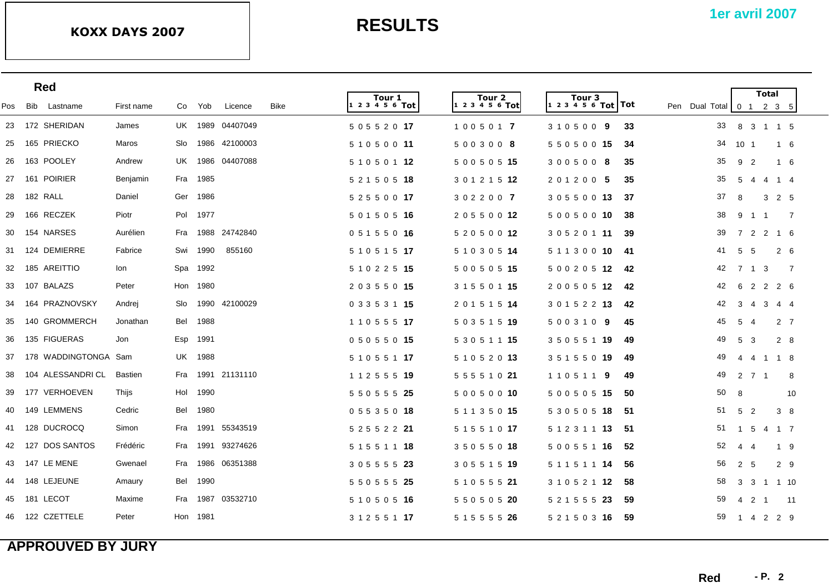|     | <b>Red</b>              |                 |     |          |                  |             |                            |                           |                                       |                                                                  |    |                                  | <b>Total</b>                   |                |    |
|-----|-------------------------|-----------------|-----|----------|------------------|-------------|----------------------------|---------------------------|---------------------------------------|------------------------------------------------------------------|----|----------------------------------|--------------------------------|----------------|----|
| Pos | Bib Lastname            | First name      | Co  | Yob      | Licence          | <b>Bike</b> | Tour 1<br> 1 2 3 4 5 6 Tot | Tour 2<br>1 2 3 4 5 6 Tot | Tour <sub>3</sub><br>$123456$ Tot Tot | Pen Dual Total $\begin{bmatrix} 0 & 1 & 2 & 3 & 5 \end{bmatrix}$ |    |                                  |                                |                |    |
|     | 23 172 SHERIDAN         | James           |     |          | UK 1989 04407049 |             | 5 0 5 5 2 0 17             | 1005017                   | 310500 9                              | 33                                                               | 33 |                                  | 8 3 1 1 5                      |                |    |
|     | 25 165 PRIECKO          | Maros           | Slo |          | 1986 42100003    |             | 5 1 0 5 0 0 11             | 5003008                   | 5 5 0 5 0 0 15                        | -34                                                              | 34 | 10 <sub>1</sub>                  |                                | 1 6            |    |
|     | 26 163 POOLEY           | Andrew          | UK. | 1986     | 04407088         |             | 5 1 0 5 0 1 12             | 5 0 0 5 0 5 15            | 3005008                               | 35                                                               | 35 | 9 <sub>2</sub>                   |                                | 1 6            |    |
|     | 27 161 POIRIER          | <b>Benjamin</b> | Fra | 1985     |                  |             | 5 2 1 5 0 5 18             | 3 0 1 2 1 5 12            | 201200 5                              | -35                                                              | 35 | 5<br>-4                          | 4                              | $1 \quad 4$    |    |
|     | 28 182 RALL             | Daniel          | Ger | 1986     |                  |             | 5 2 5 5 0 0 17             | 3022007                   | 3 0 5 5 0 0 13                        | -37                                                              | 37 | 8                                | 3                              | 2 5            |    |
|     | 29 166 RECZEK           | Piotr           | Pol | 1977     |                  |             | 5 0 1 5 0 5 16             | 2 0 5 5 0 0 12            | 5 0 0 5 0 0 10                        | -38                                                              | 38 | 9<br>$\overline{1}$              | $\overline{1}$                 |                | 7  |
|     | 30 154 NARSES           | Aurélien        | Fra |          | 1988 24742840    |             | 0 5 1 5 5 0 16             | 5 2 0 5 0 0 12            | 3 0 5 2 0 1 <b>11</b>                 | -39                                                              | 39 |                                  | 7 2 2 1 6                      |                |    |
|     | 31 124 DEMIERRE         | Fabrice         | Swi | 1990     | 855160           |             | 5 1 0 5 1 5 17             | 5 1 0 3 0 5 14            | 5 1 1 3 0 0 10                        | -41                                                              | 41 | $5\overline{5}$<br>- 5           |                                | $2\quad 6$     |    |
|     | 32 185 AREITTIO         | lon.            | Spa | 1992     |                  |             | 5 1 0 2 2 5 15             | 5 0 0 5 0 5 15            | 5 0 0 2 0 5 12 42                     |                                                                  | 42 |                                  | 7 1 3                          |                | 7  |
|     | 33 107 BALAZS           | Peter           |     | Hon 1980 |                  |             | 2 0 3 5 5 0 15             | 3 1 5 5 0 1 <b>15</b>     | 200505 <b>12</b>                      | -42                                                              | 42 | 6 2                              |                                | 2 2 6          |    |
|     | 34 164 PRAZNOVSKY       | Andrej          | Slo |          | 1990 42100029    |             | 0 3 3 5 3 1 15             | 2 0 1 5 1 5 14            | 3 0 1 5 2 2 <b>13</b>                 | 42                                                               | 42 | $3\quad 4$                       |                                | 3 4 4          |    |
| 35  | 140 GROMMERCH           | Jonathan        | Bel | 1988     |                  |             | 1 1 0 5 5 5 17             | 5 0 3 5 1 5 19            | 5 0 0 3 1 0 9                         | 45                                                               | 45 | 5<br>-4                          |                                | 2 <sub>7</sub> |    |
|     | 36 135 FIGUERAS         | Jon             | Esp | 1991     |                  |             | 0 5 0 5 5 0 15             | 5 3 0 5 1 1 <b>15</b>     | 3 5 0 5 5 1 <b>19</b>                 | -49                                                              | 49 | 5<br>- 3                         |                                | 2 8            |    |
|     | 37 178 WADDINGTONGA Sam |                 | UK. | 1988     |                  |             | 5 1 0 5 5 1 <b>17</b>      | 5 1 0 5 2 0 13            | 3 5 1 5 5 0 19                        | 49                                                               | 49 |                                  | 4 4 1 1 8                      |                |    |
| 38  | 104 ALESSANDRI CL       | <b>Bastien</b>  | Fra |          | 1991 21131110    |             | 1 1 2 5 5 5 19             | 5 5 5 5 1 0 21            | 1 1 0 5 1 1 9                         | 49                                                               | 49 | 2 7 1                            |                                |                | 8  |
|     | 39 177 VERHOEVEN        | Thijs           | Hol | 1990     |                  |             | 5 5 0 5 5 5 25             | 5 0 0 5 0 0 10            | 5 0 0 5 0 5 15                        | 50                                                               | 50 | 8                                |                                |                | 10 |
|     | 40 149 LEMMENS          | Cedric          | Bel | 1980     |                  |             | 0 5 5 3 5 0 18             | 5 1 1 3 5 0 <b>15</b>     | 5 3 0 5 0 5 <b>18</b>                 | -51                                                              | 51 | 5 2                              |                                | 38             |    |
|     | 41 128 DUCROCQ          | Simon           | Fra | 1991     | 55343519         |             | 5 2 5 5 2 2 21             | 5 1 5 5 1 0 <b>17</b>     | 5 1 2 3 1 1 <b>13</b>                 | -51                                                              | 51 | $1\quad 5$                       |                                | 4 1 7          |    |
|     | 42 127 DOS SANTOS       | Frédéric        | Fra | 1991     | 93274626         |             | 5 1 5 5 1 1 18             | 3 5 0 5 5 0 18            | 5 0 0 5 5 1 16                        | 52                                                               | 52 | $\overline{4}$<br>$\overline{4}$ |                                | 1 9            |    |
|     | 43 147 LE MENE          | Gwenael         | Fra | 1986     | 06351388         |             | 3 0 5 5 5 5 23             | 3 0 5 5 1 5 19            | 5 1 1 5 1 1 <b>14</b>                 | 56                                                               | 56 | 2 5                              |                                | 2 <sub>9</sub> |    |
|     | 44 148 LEJEUNE          | Amaury          | Bel | 1990     |                  |             | 5 5 0 5 5 5 25             | 5 1 0 5 5 5 21            |                                       | 58                                                               | 58 |                                  | 3 3 1 1 10                     |                |    |
| 45  | 181 LECOT               | Maxime          | Fra | 1987     | 03532710         |             | 5 1 0 5 0 5 16             | 5 5 0 5 0 5 20            | 5 2 1 5 5 5 23                        | -59                                                              | 59 | 4                                | $\overline{2}$<br>$\mathbf{1}$ |                | 11 |
|     | 46 122 CZETTELE         | Peter           | Hon | 1981     |                  |             | 3 1 2 5 5 1 <b>17</b>      | 5 1 5 5 5 5 26            | 5 2 1 5 0 3 16                        | -59                                                              | 59 | 1 4                              |                                | 2 2 9          |    |
|     |                         |                 |     |          |                  |             |                            |                           |                                       |                                                                  |    |                                  |                                |                |    |

## **APPROUVED BY JURY**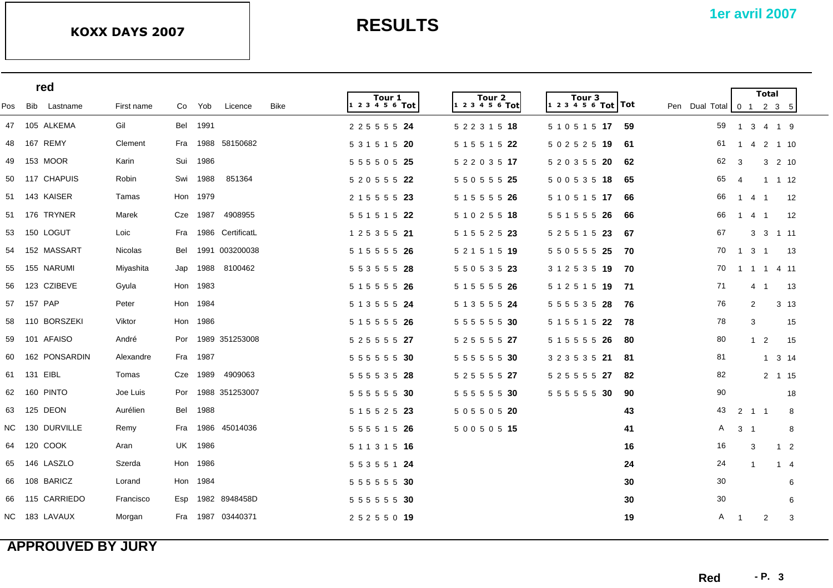|     | red             |                |          |          |                    |             |                        |                        |                                           |                    |                      |                                | <b>Total</b>   |                 |  |
|-----|-----------------|----------------|----------|----------|--------------------|-------------|------------------------|------------------------|-------------------------------------------|--------------------|----------------------|--------------------------------|----------------|-----------------|--|
| Pos | Bib Lastname    | First name     | Co       | Yob      | Licence            | <b>Bike</b> | Tour 1<br>$123456$ Tot | Tour 2<br>$123456$ Tot | Tour <sub>3</sub><br> 1 2 3 4 5 6 Tot Tot | Pen Dual Total 0 1 |                      |                                | $2 \t3 \t5$    |                 |  |
|     | 47 105 ALKEMA   | Gil            |          | Bel 1991 |                    |             | 2 2 5 5 5 5 24         | 5 2 2 3 1 5 18         | 5 1 0 5 1 5 17                            | 59                 | 59                   | 1 3 4 1 9                      |                |                 |  |
| 48  | 167 REMY        | Clement        | Fra      |          | 1988 58150682      |             | 5 3 1 5 1 5 20         | 5 1 5 5 1 5 22         | 5 0 2 5 2 5 19                            | -61                | 61                   | 1 4                            | 2 1 10         |                 |  |
| 49  | 153 MOOR        | Karin          | Sui      | 1986     |                    |             | 5 5 5 5 0 5 25         | 5 2 2 0 3 5 17         | 5 2 0 3 5 5 20                            | 62                 | 62<br>3              |                                | 3 2 10         |                 |  |
|     | 50 117 CHAPUIS  | Robin          | Swi      | 1988     | 851364             |             | 5 2 0 5 5 5 22         | 5 5 0 5 5 5 25         | 5 0 0 5 3 5 18                            | 65                 | 65<br>$\overline{4}$ |                                | $1 \t1 \t12$   |                 |  |
|     | 51 143 KAISER   | Tamas          | Hon 1979 |          |                    |             | 2 1 5 5 5 5 23         | 5 1 5 5 5 5 26         | 5 1 0 5 1 5 17                            | 66                 | 66                   | $\mathbf{1}$<br>4              | $\overline{1}$ | 12              |  |
|     | 51 176 TRYNER   | Marek          | Cze      | 1987     | 4908955            |             | 5 5 1 5 1 5 22         | 5 1 0 2 5 5 18         | 5 5 1 5 5 5 26                            | 66                 | 66                   | $1 \quad 4$                    | $\overline{1}$ | 12              |  |
| 53  | 150 LOGUT       | Loic           | Fra      |          | 1986 CertificatL   |             | 1 2 5 3 5 5 21         | 5 1 5 5 2 5 23         | 5 2 5 5 1 5 23                            | -67                | 67                   |                                | 3 3 1 11       |                 |  |
| 54  | 152 MASSART     | <b>Nicolas</b> | Bel      |          | 1991 003200038     |             | 5 1 5 5 5 5 26         | 5 2 1 5 1 5 19         | 5 5 0 5 5 5 25                            | 70                 | 70<br>$\overline{1}$ | $3 \quad 1$                    |                | 13              |  |
| 55  | 155 NARUMI      | Miyashita      | Jap      | 1988     | 8100462            |             | 5 5 3 5 5 5 28         | 5 5 0 5 3 5 23         | 3 1 2 5 3 5 19                            | - 70               | 70                   | 1 1 1 4 11                     |                |                 |  |
| 56  | 123 CZIBEVE     | Gyula          |          | Hon 1983 |                    |             | 5 1 5 5 5 5 26         | 5 1 5 5 5 5 26         | 5 1 2 5 1 5 19 71                         |                    | 71                   | $\overline{4}$                 | -1             | 13              |  |
|     | 57 157 PAP      | Peter          |          | Hon 1984 |                    |             | 5 1 3 5 5 5 24         | 5 1 3 5 5 5 24         | 5 5 5 5 3 5 28                            | - 76               | 76                   | $\overline{2}$                 |                | 3 <sub>13</sub> |  |
| 58  | 110 BORSZEKI    | Viktor         |          | Hon 1986 |                    |             | 5 1 5 5 5 5 26         | 5 5 5 5 5 5 30         | 5 1 5 5 1 5 22                            | - 78               | 78                   | 3                              |                | 15              |  |
| 59  | 101 AFAISO      | André          |          |          | Por 1989 351253008 |             | 5 2 5 5 5 5 27         | 5 2 5 5 5 5 27         | 5 1 5 5 5 5 26                            | 80                 | 80                   | $1\quad 2$                     |                | 15              |  |
| 60  | 162 PONSARDIN   | Alexandre      |          | Fra 1987 |                    |             | 5 5 5 5 5 5 30         | 5 5 5 5 5 5 30         | 3 2 3 5 3 5 21                            | 81                 | 81                   |                                | $1 \t3 \t14$   |                 |  |
| 61  | 131 EIBL        | Tomas          |          | Cze 1989 | 4909063            |             | 5 5 5 5 3 5 28         | 5 2 5 5 5 5 27         | 5 2 5 5 5 5 27                            | 82                 | 82                   |                                | 2 1 15         |                 |  |
| 62  | 160 PINTO       | Joe Luis       | Por      |          | 1988 351253007     |             | 5 5 5 5 5 5 30         | 5 5 5 5 5 5 30         | 5 5 5 5 5 5 30                            | 90                 | 90                   |                                |                | 18              |  |
|     | 63 125 DEON     | Aurélien       | Bel      | 1988     |                    |             | 5 1 5 5 2 5 23         | 5 0 5 5 0 5 20         |                                           | 43                 | 43                   | $2 \quad 1 \quad 1$            |                | 8               |  |
|     | NC 130 DURVILLE | Remy           | Fra      | 1986     | 45014036           |             | 5 5 5 5 1 5 26         | 5 0 0 5 0 5 15         |                                           | 41                 | A                    | $\mathbf{3}$<br>$\overline{1}$ |                | 8               |  |
| 64  | 120 COOK        | Aran           |          | UK 1986  |                    |             | 5 1 1 3 1 5 16         |                        |                                           | 16                 | 16                   | 3                              |                | $1\quad 2$      |  |
| 65  | 146 LASZLO      | Szerda         |          | Hon 1986 |                    |             | 5 5 3 5 5 1 24         |                        |                                           | 24                 | 24                   | -1                             |                | $1 \quad 4$     |  |
| 66  | 108 BARICZ      | Lorand         |          | Hon 1984 |                    |             | 5 5 5 5 5 5 30         |                        |                                           | 30                 | 30                   |                                |                | 6               |  |
| 66  | 115 CARRIEDO    | Francisco      | Esp      |          | 1982 8948458D      |             | 5 5 5 5 5 5 30         |                        |                                           | 30                 | 30                   |                                |                | 6               |  |
|     | NC 183 LAVAUX   | Morgan         | Fra      |          | 1987 03440371      |             | 2 5 2 5 5 0 19         |                        |                                           | 19                 | A<br>- 1             |                                | 2              | 3               |  |
|     |                 |                |          |          |                    |             |                        |                        |                                           |                    |                      |                                |                |                 |  |

# **APPROUVED BY JURY**